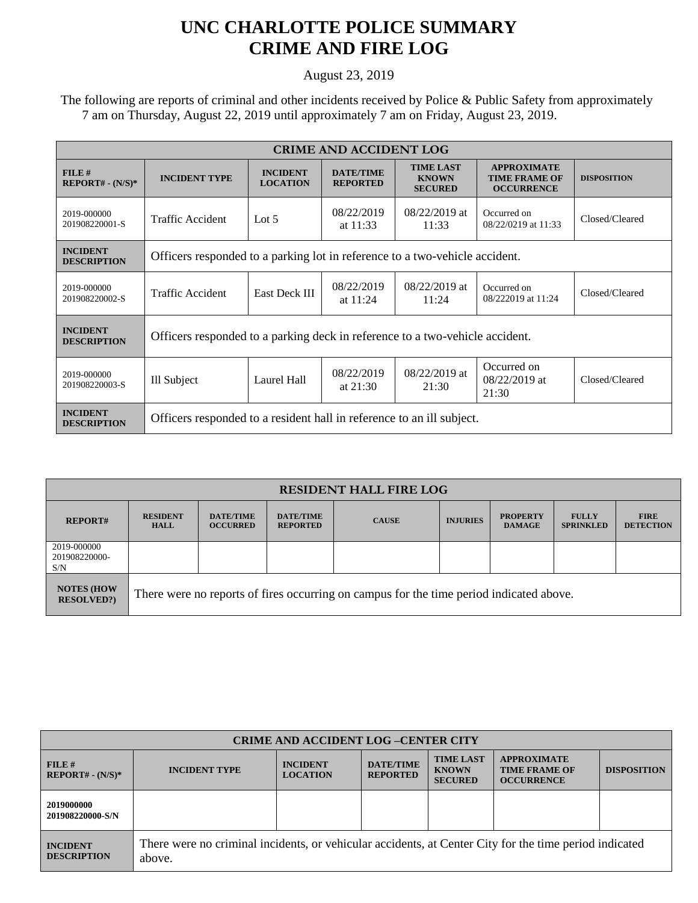## **UNC CHARLOTTE POLICE SUMMARY CRIME AND FIRE LOG**

August 23, 2019

 The following are reports of criminal and other incidents received by Police & Public Safety from approximately 7 am on Thursday, August 22, 2019 until approximately 7 am on Friday, August 23, 2019.

| <b>CRIME AND ACCIDENT LOG</b>         |                                                                              |                                    |                                     |                                                    |                                                                 |                    |  |  |
|---------------------------------------|------------------------------------------------------------------------------|------------------------------------|-------------------------------------|----------------------------------------------------|-----------------------------------------------------------------|--------------------|--|--|
| $FILE$ #<br>$REPORT# - (N/S)*$        | <b>INCIDENT TYPE</b>                                                         | <b>INCIDENT</b><br><b>LOCATION</b> | <b>DATE/TIME</b><br><b>REPORTED</b> | <b>TIME LAST</b><br><b>KNOWN</b><br><b>SECURED</b> | <b>APPROXIMATE</b><br><b>TIME FRAME OF</b><br><b>OCCURRENCE</b> | <b>DISPOSITION</b> |  |  |
| 2019-000000<br>201908220001-S         | Traffic Accident                                                             | Lot $5$                            | 08/22/2019<br>at $11:33$            | $08/22/2019$ at<br>11:33                           | Occurred on<br>08/22/0219 at 11:33                              | Closed/Cleared     |  |  |
| <b>INCIDENT</b><br><b>DESCRIPTION</b> | Officers responded to a parking lot in reference to a two-vehicle accident.  |                                    |                                     |                                                    |                                                                 |                    |  |  |
| 2019-000000<br>201908220002-S         | Traffic Accident                                                             | <b>East Deck III</b>               | 08/22/2019<br>at $11:24$            | 08/22/2019 at<br>11:24                             | Occurred on<br>08/222019 at 11:24                               | Closed/Cleared     |  |  |
| <b>INCIDENT</b><br><b>DESCRIPTION</b> | Officers responded to a parking deck in reference to a two-vehicle accident. |                                    |                                     |                                                    |                                                                 |                    |  |  |
| 2019-000000<br>201908220003-S         | Ill Subject                                                                  | Laurel Hall                        | 08/22/2019<br>at $21:30$            | 08/22/2019 at<br>21:30                             | Occurred on<br>08/22/2019 at<br>21:30                           | Closed/Cleared     |  |  |
| <b>INCIDENT</b><br><b>DESCRIPTION</b> | Officers responded to a resident hall in reference to an ill subject.        |                                    |                                     |                                                    |                                                                 |                    |  |  |

| <b>RESIDENT HALL FIRE LOG</b>           |                                                                                         |                                     |                                     |              |                 |                                  |                                  |                                 |
|-----------------------------------------|-----------------------------------------------------------------------------------------|-------------------------------------|-------------------------------------|--------------|-----------------|----------------------------------|----------------------------------|---------------------------------|
| <b>REPORT#</b>                          | <b>RESIDENT</b><br><b>HALL</b>                                                          | <b>DATE/TIME</b><br><b>OCCURRED</b> | <b>DATE/TIME</b><br><b>REPORTED</b> | <b>CAUSE</b> | <b>INJURIES</b> | <b>PROPERTY</b><br><b>DAMAGE</b> | <b>FULLY</b><br><b>SPRINKLED</b> | <b>FIRE</b><br><b>DETECTION</b> |
| 2019-000000<br>201908220000-<br>S/N     |                                                                                         |                                     |                                     |              |                 |                                  |                                  |                                 |
| <b>NOTES (HOW)</b><br><b>RESOLVED?)</b> | There were no reports of fires occurring on campus for the time period indicated above. |                                     |                                     |              |                 |                                  |                                  |                                 |

| <b>CRIME AND ACCIDENT LOG-CENTER CITY</b> |                                                                                                                  |                                    |                                     |                                                    |                                                                 |                    |  |
|-------------------------------------------|------------------------------------------------------------------------------------------------------------------|------------------------------------|-------------------------------------|----------------------------------------------------|-----------------------------------------------------------------|--------------------|--|
| FILE#<br>$REPORT# - (N/S)*$               | <b>INCIDENT TYPE</b>                                                                                             | <b>INCIDENT</b><br><b>LOCATION</b> | <b>DATE/TIME</b><br><b>REPORTED</b> | <b>TIME LAST</b><br><b>KNOWN</b><br><b>SECURED</b> | <b>APPROXIMATE</b><br><b>TIME FRAME OF</b><br><b>OCCURRENCE</b> | <b>DISPOSITION</b> |  |
| 2019000000<br>201908220000-S/N            |                                                                                                                  |                                    |                                     |                                                    |                                                                 |                    |  |
| <b>INCIDENT</b><br><b>DESCRIPTION</b>     | There were no criminal incidents, or vehicular accidents, at Center City for the time period indicated<br>above. |                                    |                                     |                                                    |                                                                 |                    |  |